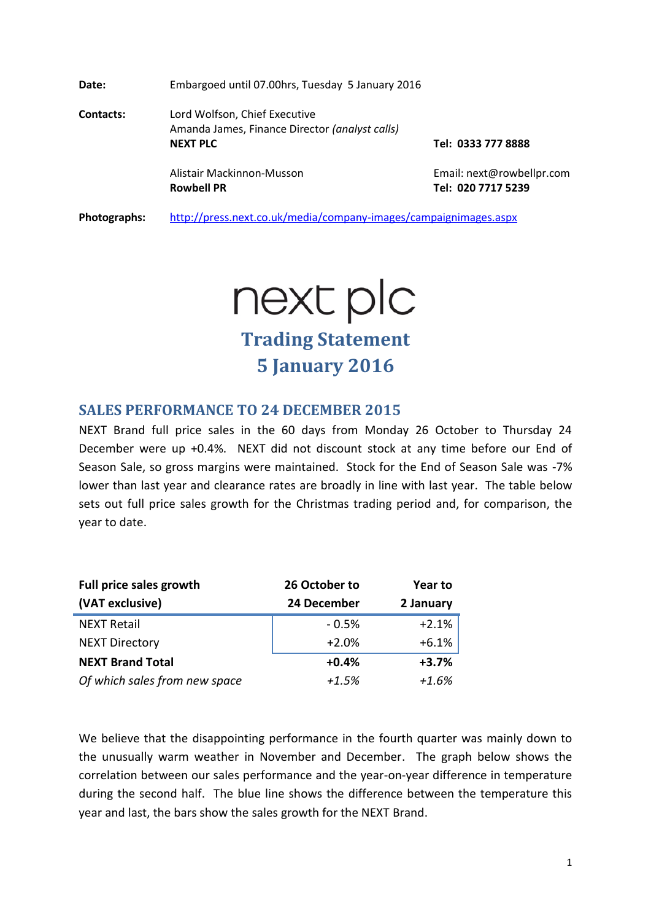**Date:** Embargoed until 07.00hrs, Tuesday 5 January 2016 **Contacts:** Lord Wolfson, Chief Executive Amanda James, Finance Director *(analyst calls)* **NEXT PLC Tel: 0333 777 8888** Alistair Mackinnon-Musson **Email:** next@rowbellpr.com **Rowbell PR Tel: 020 7717 5239**

**Photographs:** <http://press.next.co.uk/media/company-images/campaignimages.aspx>

next plc

**Trading Statement 5 January 2016**

### **SALES PERFORMANCE TO 24 DECEMBER 2015**

NEXT Brand full price sales in the 60 days from Monday 26 October to Thursday 24 December were up +0.4%. NEXT did not discount stock at any time before our End of Season Sale, so gross margins were maintained. Stock for the End of Season Sale was -7% lower than last year and clearance rates are broadly in line with last year. The table below sets out full price sales growth for the Christmas trading period and, for comparison, the year to date.

| Full price sales growth       | 26 October to | Year to   |  |
|-------------------------------|---------------|-----------|--|
| (VAT exclusive)               | 24 December   | 2 January |  |
| <b>NEXT Retail</b>            | $-0.5%$       | $+2.1%$   |  |
| <b>NEXT Directory</b>         | $+2.0%$       | $+6.1%$   |  |
| <b>NEXT Brand Total</b>       | $+0.4%$       | $+3.7%$   |  |
| Of which sales from new space | $+1.5%$       | $+1.6%$   |  |

We believe that the disappointing performance in the fourth quarter was mainly down to the unusually warm weather in November and December. The graph below shows the correlation between our sales performance and the year-on-year difference in temperature during the second half. The blue line shows the difference between the temperature this year and last, the bars show the sales growth for the NEXT Brand.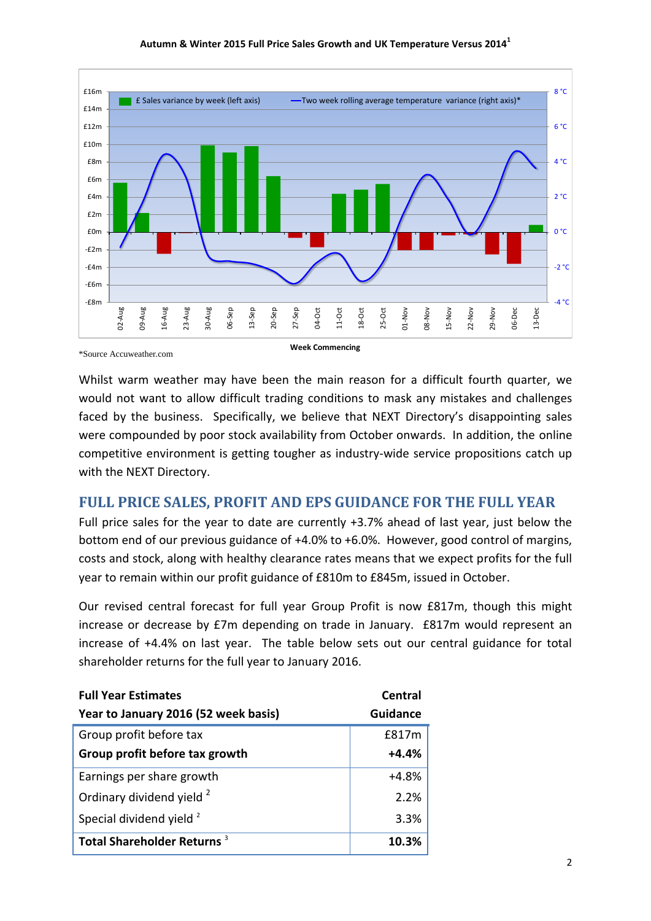

Whilst warm weather may have been the main reason for a difficult fourth quarter, we would not want to allow difficult trading conditions to mask any mistakes and challenges faced by the business. Specifically, we believe that NEXT Directory's disappointing sales were compounded by poor stock availability from October onwards. In addition, the online competitive environment is getting tougher as industry-wide service propositions catch up with the NEXT Directory.

## **FULL PRICE SALES, PROFIT AND EPS GUIDANCE FOR THE FULL YEAR**

Full price sales for the year to date are currently +3.7% ahead of last year, just below the bottom end of our previous guidance of +4.0% to +6.0%. However, good control of margins, costs and stock, along with healthy clearance rates means that we expect profits for the full year to remain within our profit guidance of £810m to £845m, issued in October.

Our revised central forecast for full year Group Profit is now £817m, though this might increase or decrease by £7m depending on trade in January. £817m would represent an increase of +4.4% on last year. The table below sets out our central guidance for total shareholder returns for the full year to January 2016.

| <b>Full Year Estimates</b>             | Central         |
|----------------------------------------|-----------------|
| Year to January 2016 (52 week basis)   | <b>Guidance</b> |
| Group profit before tax                | £817m           |
| Group profit before tax growth         | $+4.4%$         |
| Earnings per share growth              | $+4.8%$         |
| Ordinary dividend yield <sup>2</sup>   | 2.2%            |
| Special dividend yield <sup>2</sup>    | 3.3%            |
| Total Shareholder Returns <sup>3</sup> | 10.3%           |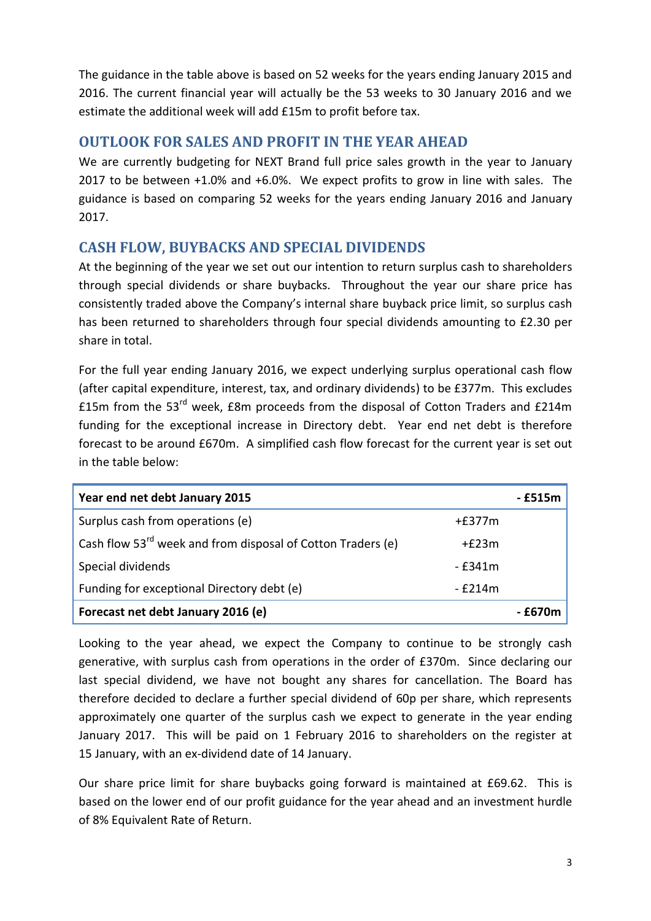The guidance in the table above is based on 52 weeks for the years ending January 2015 and 2016. The current financial year will actually be the 53 weeks to 30 January 2016 and we estimate the additional week will add £15m to profit before tax.

## **OUTLOOK FOR SALES AND PROFIT IN THE YEAR AHEAD**

We are currently budgeting for NEXT Brand full price sales growth in the year to January 2017 to be between +1.0% and +6.0%. We expect profits to grow in line with sales. The guidance is based on comparing 52 weeks for the years ending January 2016 and January 2017.

# **CASH FLOW, BUYBACKS AND SPECIAL DIVIDENDS**

At the beginning of the year we set out our intention to return surplus cash to shareholders through special dividends or share buybacks. Throughout the year our share price has consistently traded above the Company's internal share buyback price limit, so surplus cash has been returned to shareholders through four special dividends amounting to £2.30 per share in total.

For the full year ending January 2016, we expect underlying surplus operational cash flow (after capital expenditure, interest, tax, and ordinary dividends) to be £377m. This excludes £15m from the 53<sup>rd</sup> week, £8m proceeds from the disposal of Cotton Traders and £214m funding for the exceptional increase in Directory debt. Year end net debt is therefore forecast to be around £670m. A simplified cash flow forecast for the current year is set out in the table below:

| Year end net debt January 2015                                          |          | - £515m |
|-------------------------------------------------------------------------|----------|---------|
| Surplus cash from operations (e)                                        | $+£377m$ |         |
| Cash flow 53 <sup>rd</sup> week and from disposal of Cotton Traders (e) | $+£23m$  |         |
| Special dividends                                                       | - £341m  |         |
| Funding for exceptional Directory debt (e)                              | - £214m  |         |
| Forecast net debt January 2016 (e)                                      |          | - £670m |

Looking to the year ahead, we expect the Company to continue to be strongly cash generative, with surplus cash from operations in the order of £370m. Since declaring our last special dividend, we have not bought any shares for cancellation. The Board has therefore decided to declare a further special dividend of 60p per share, which represents approximately one quarter of the surplus cash we expect to generate in the year ending January 2017. This will be paid on 1 February 2016 to shareholders on the register at 15 January, with an ex-dividend date of 14 January.

Our share price limit for share buybacks going forward is maintained at £69.62. This is based on the lower end of our profit guidance for the year ahead and an investment hurdle of 8% Equivalent Rate of Return.